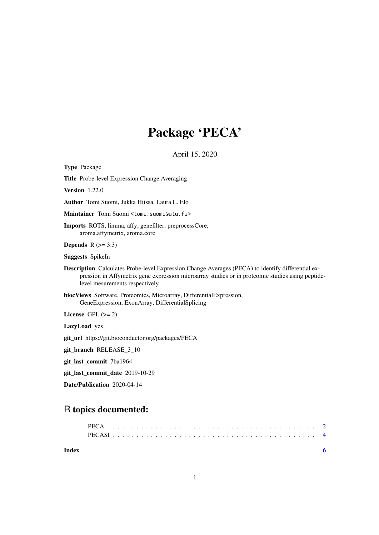## Package 'PECA'

April 15, 2020

### R topics documented: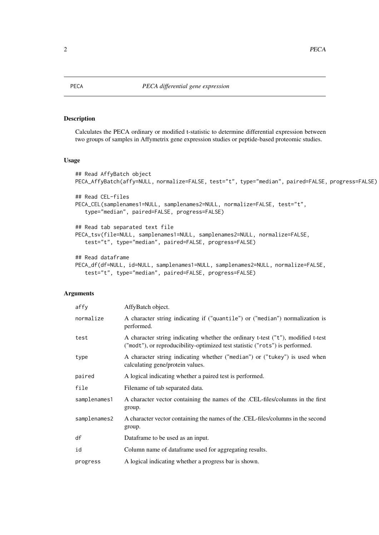#### <span id="page-1-1"></span><span id="page-1-0"></span>Description

Calculates the PECA ordinary or modified t-statistic to determine differential expression between two groups of samples in Affymetrix gene expression studies or peptide-based proteomic studies.

### Usage

```
## Read AffyBatch object
PECA_AffyBatch(affy=NULL, normalize=FALSE, test="t", type="median", paired=FALSE, progress=FALSE)
## Read CEL-files
PECA_CEL(samplenames1=NULL, samplenames2=NULL, normalize=FALSE, test="t",
   type="median", paired=FALSE, progress=FALSE)
## Read tab separated text file
PECA_tsv(file=NULL, samplenames1=NULL, samplenames2=NULL, normalize=FALSE,
   test="t", type="median", paired=FALSE, progress=FALSE)
## Read dataframe
PECA_df(df=NULL, id=NULL, samplenames1=NULL, samplenames2=NULL, normalize=FALSE,
   test="t", type="median", paired=FALSE, progress=FALSE)
```
#### Arguments

| affy         | AffyBatch object.                                                                                                                                                |
|--------------|------------------------------------------------------------------------------------------------------------------------------------------------------------------|
| normalize    | A character string indicating if ("quantile") or ("median") normalization is<br>performed.                                                                       |
| test         | A character string indicating whether the ordinary t-test ("t"), modified t-test<br>("modt"), or reproducibility-optimized test statistic ("rots") is performed. |
| type         | A character string indicating whether ("median") or ("tukey") is used when<br>calculating gene/protein values.                                                   |
| paired       | A logical indicating whether a paired test is performed.                                                                                                         |
| file         | Filename of tab separated data.                                                                                                                                  |
| samplenames1 | A character vector containing the names of the .CEL-files/columns in the first<br>group.                                                                         |
| samplenames2 | A character vector containing the names of the .CEL-files/columns in the second<br>group.                                                                        |
| df           | Dataframe to be used as an input.                                                                                                                                |
| id           | Column name of dataframe used for aggregating results.                                                                                                           |
| progress     | A logical indicating whether a progress bar is shown.                                                                                                            |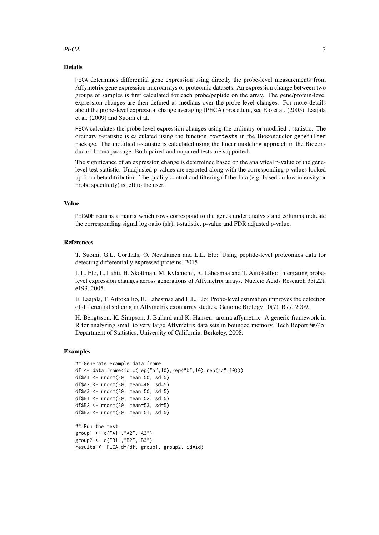#### PECA 3

#### Details

PECA determines differential gene expression using directly the probe-level measurements from Affymetrix gene expression microarrays or proteomic datasets. An expression change between two groups of samples is first calculated for each probe/peptide on the array. The gene/protein-level expression changes are then defined as medians over the probe-level changes. For more details about the probe-level expression change averaging (PECA) procedure, see Elo et al. (2005), Laajala et al. (2009) and Suomi et al.

PECA calculates the probe-level expression changes using the ordinary or modified t-statistic. The ordinary t-statistic is calculated using the function rowttests in the Bioconductor genefilter package. The modified t-statistic is calculated using the linear modeling approach in the Bioconductor limma package. Both paired and unpaired tests are supported.

The significance of an expression change is determined based on the analytical p-value of the genelevel test statistic. Unadjusted p-values are reported along with the corresponding p-values looked up from beta ditribution. The quality control and filtering of the data (e.g. based on low intensity or probe specificity) is left to the user.

#### Value

PECADE returns a matrix which rows correspond to the genes under analysis and columns indicate the corresponding signal log-ratio (slr), t-statistic, p-value and FDR adjusted p-value.

#### References

T. Suomi, G.L. Corthals, O. Nevalainen and L.L. Elo: Using peptide-level proteomics data for detecting differentially expressed proteins. 2015

L.L. Elo, L. Lahti, H. Skottman, M. Kylaniemi, R. Lahesmaa and T. Aittokallio: Integrating probelevel expression changes across generations of Affymetrix arrays. Nucleic Acids Research 33(22), e193, 2005.

E. Laajala, T. Aittokallio, R. Lahesmaa and L.L. Elo: Probe-level estimation improves the detection of differential splicing in Affymetrix exon array studies. Genome Biology 10(7), R77, 2009.

H. Bengtsson, K. Simpson, J. Bullard and K. Hansen: aroma.affymetrix: A generic framework in R for analyzing small to very large Affymetrix data sets in bounded memory. Tech Report \#745, Department of Statistics, University of California, Berkeley, 2008.

#### Examples

```
## Generate example data frame
df <- data.frame(id=c(rep("a",10),rep("b",10),rep("c",10)))
df$A1 <- rnorm(30, mean=50, sd=5)
df$A2 <- rnorm(30, mean=48, sd=5)
df$A3 <- rnorm(30, mean=50, sd=5)
df$B1 <- rnorm(30, mean=52, sd=5)
df$B2 <- rnorm(30, mean=53, sd=5)
df$B3 <- rnorm(30, mean=51, sd=5)
## Run the test
group1 <- c("A1","A2","A3")
group2 <- c("B1","B2","B3")
results <- PECA_df(df, group1, group2, id=id)
```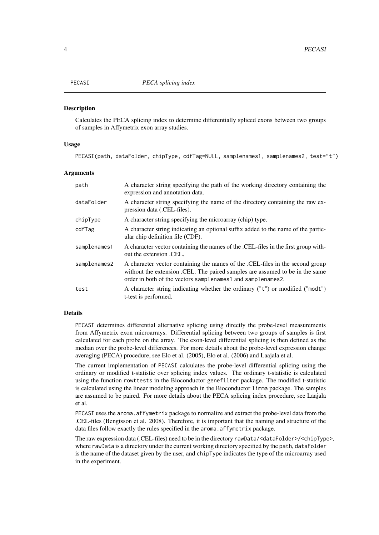<span id="page-3-0"></span>

#### **Description**

Calculates the PECA splicing index to determine differentially spliced exons between two groups of samples in Affymetrix exon array studies.

#### Usage

PECASI(path, dataFolder, chipType, cdfTag=NULL, samplenames1, samplenames2, test="t")

#### Arguments

| path         | A character string specifying the path of the working directory containing the<br>expression and annotation data.                                                                                                             |
|--------------|-------------------------------------------------------------------------------------------------------------------------------------------------------------------------------------------------------------------------------|
| dataFolder   | A character string specifying the name of the directory containing the raw ex-<br>pression data (.CEL-files).                                                                                                                 |
| chipType     | A character string specifying the microarray (chip) type.                                                                                                                                                                     |
| cdfTag       | A character string indicating an optional suffix added to the name of the partic-<br>ular chip definition file (CDF).                                                                                                         |
| samplenames1 | A character vector containing the names of the .CEL-files in the first group with-<br>out the extension .CEL.                                                                                                                 |
| samplenames2 | A character vector containing the names of the .CEL-files in the second group<br>without the extension . CEL. The paired samples are assumed to be in the same<br>order in both of the vectors samplenames1 and samplenames2. |
| test         | A character string indicating whether the ordinary ("t") or modified ("modt")<br>t-test is performed.                                                                                                                         |

#### Details

PECASI determines differential alternative splicing using directly the probe-level measurements from Affymetrix exon microarrays. Differential splicing between two groups of samples is first calculated for each probe on the array. The exon-level differential splicing is then defined as the median over the probe-level differences. For more details about the probe-level expression change averaging (PECA) procedure, see Elo et al. (2005), Elo et al. (2006) and Laajala et al.

The current implementation of PECASI calculates the probe-level differential splicing using the ordinary or modified t-statistic over splicing index values. The ordinary t-statistic is calculated using the function rowttests in the Bioconductor genefilter package. The modified t-statistic is calculated using the linear modeling approach in the Bioconductor limma package. The samples are assumed to be paired. For more details about the PECA splicing index procedure, see Laajala et al.

PECASI uses the aroma.affymetrix package to normalize and extract the probe-level data from the .CEL-files (Bengtsson et al. 2008). Therefore, it is important that the naming and structure of the data files follow exactly the rules specified in the aroma.affymetrix package.

The raw expression data (.CEL-files) need to be in the directory rawData/<dataFolder>/<chipType>, where rawData is a directory under the current working directory specified by the path, dataFolder is the name of the dataset given by the user, and chipType indicates the type of the microarray used in the experiment.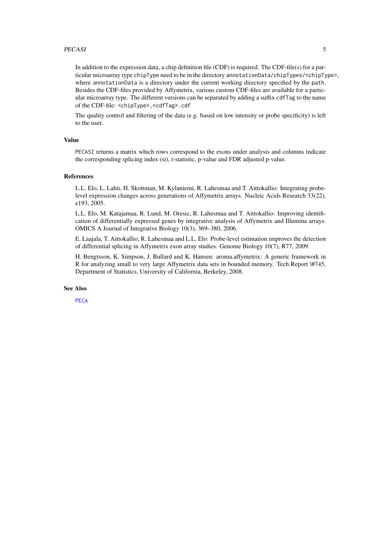#### <span id="page-4-0"></span>PECASI 5

In addition to the expression data, a chip definition file (CDF) is required. The CDF-file(s) for a particular microarray type chipType need to be in the directory annotationData/chipTypes/<chipType>, where annotationData is a directory under the current working directory specified by the path. Besides the CDF-files provided by Affymetrix, various custom CDF-files are available for a particular microarray type. The different versions can be separated by adding a suffix cdfTag to the name of the CDF-file: <chipType>,<cdfTag>.cdf

The quality control and filtering of the data (e.g. based on low intensity or probe specificity) is left to the user.

#### Value

PECASI returns a matrix which rows correspond to the exons under analysis and columns indicate the corresponding splicing index (si), t-statistic, p-value and FDR adjusted p-value.

#### References

L.L. Elo, L. Lahti, H. Skottman, M. Kylaniemi, R. Lahesmaa and T. Aittokallio: Integrating probelevel expression changes across generations of Affymetrix arrays. Nucleic Acids Research 33(22), e193, 2005.

L.L. Elo, M. Katajamaa, R. Lund, M. Oresic, R. Lahesmaa and T. Aittokallio: Improving identification of differentially expressed genes by integrative analysis of Affymetrix and Illumina arrays. OMICS A Journal of Integrative Biology 10(3), 369–380, 2006.

E. Laajala, T. Aittokallio, R. Lahesmaa and L.L. Elo: Probe-level estimation improves the detection of differential splicing in Affymetrix exon array studies. Genome Biology 10(7), R77, 2009.

H. Bengtsson, K. Simpson, J. Bullard and K. Hansen: aroma.affymetrix: A generic framework in R for analyzing small to very large Affymetrix data sets in bounded memory. Tech Report \#745, Department of Statistics, University of California, Berkeley, 2008.

#### See Also

[PECA](#page-1-1)